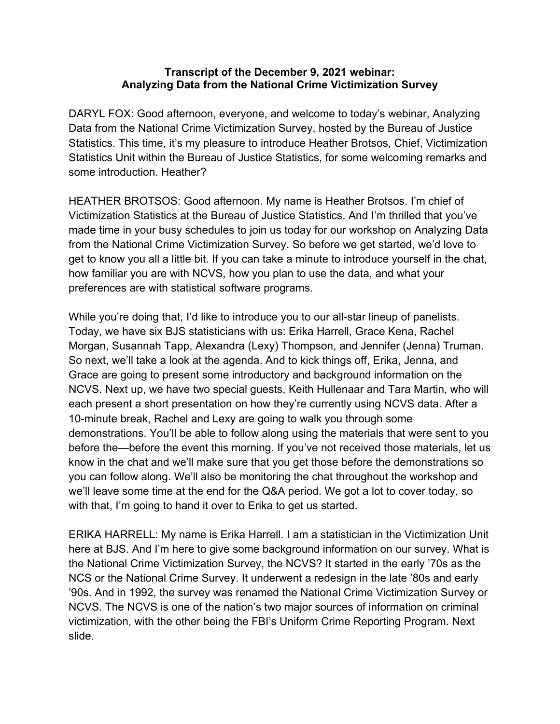## **Transcript of the December 9, 2021 webinar: Analyzing Data from the National Crime Victimization Survey**

DARYL FOX: Good afternoon, everyone, and welcome to today's webinar, Analyzing Data from the National Crime Victimization Survey, hosted by the Bureau of Justice Statistics. This time, it's my pleasure to introduce Heather Brotsos, Chief, Victimization Statistics Unit within the Bureau of Justice Statistics, for some welcoming remarks and some introduction. Heather?

HEATHER BROTSOS: Good afternoon. My name is Heather Brotsos. I'm chief of Victimization Statistics at the Bureau of Justice Statistics. And I'm thrilled that you've made time in your busy schedules to join us today for our workshop on Analyzing Data from the National Crime Victimization Survey. So before we get started, we'd love to get to know you all a little bit. If you can take a minute to introduce yourself in the chat, how familiar you are with NCVS, how you plan to use the data, and what your preferences are with statistical software programs.

While you're doing that, I'd like to introduce you to our all-star lineup of panelists. Today, we have six BJS statisticians with us: Erika Harrell, Grace Kena, Rachel Morgan, Susannah Tapp, Alexandra (Lexy) Thompson, and Jennifer (Jenna) Truman. So next, we'll take a look at the agenda. And to kick things off, Erika, Jenna, and Grace are going to present some introductory and background information on the NCVS. Next up, we have two special guests, Keith Hullenaar and Tara Martin, who will each present a short presentation on how they're currently using NCVS data. After a 10-minute break, Rachel and Lexy are going to walk you through some demonstrations. You'll be able to follow along using the materials that were sent to you before the—before the event this morning. If you've not received those materials, let us know in the chat and we'll make sure that you get those before the demonstrations so you can follow along. We'll also be monitoring the chat throughout the workshop and we'll leave some time at the end for the Q&A period. We got a lot to cover today, so with that, I'm going to hand it over to Erika to get us started.

ERIKA HARRELL: My name is Erika Harrell. I am a statistician in the Victimization Unit here at BJS. And I'm here to give some background information on our survey. What is the National Crime Victimization Survey, the NCVS? It started in the early '70s as the NCS or the National Crime Survey. It underwent a redesign in the late '80s and early '90s. And in 1992, the survey was renamed the National Crime Victimization Survey or NCVS. The NCVS is one of the nation's two major sources of information on criminal victimization, with the other being the FBI's Uniform Crime Reporting Program. Next slide.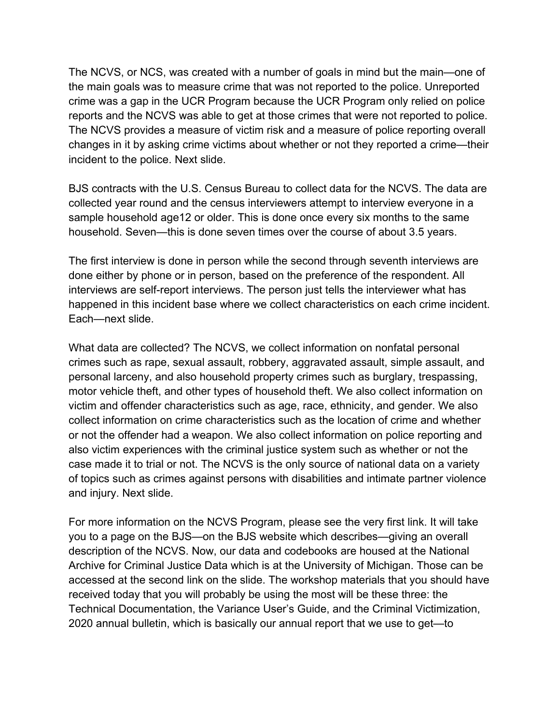The NCVS, or NCS, was created with a number of goals in mind but the main—one of the main goals was to measure crime that was not reported to the police. Unreported crime was a gap in the UCR Program because the UCR Program only relied on police reports and the NCVS was able to get at those crimes that were not reported to police. The NCVS provides a measure of victim risk and a measure of police reporting overall changes in it by asking crime victims about whether or not they reported a crime—their incident to the police. Next slide.

BJS contracts with the U.S. Census Bureau to collect data for the NCVS. The data are collected year round and the census interviewers attempt to interview everyone in a sample household age12 or older. This is done once every six months to the same household. Seven—this is done seven times over the course of about 3.5 years.

The first interview is done in person while the second through seventh interviews are done either by phone or in person, based on the preference of the respondent. All interviews are self-report interviews. The person just tells the interviewer what has happened in this incident base where we collect characteristics on each crime incident. Each—next slide.

What data are collected? The NCVS, we collect information on nonfatal personal crimes such as rape, sexual assault, robbery, aggravated assault, simple assault, and personal larceny, and also household property crimes such as burglary, trespassing, motor vehicle theft, and other types of household theft. We also collect information on victim and offender characteristics such as age, race, ethnicity, and gender. We also collect information on crime characteristics such as the location of crime and whether or not the offender had a weapon. We also collect information on police reporting and also victim experiences with the criminal justice system such as whether or not the case made it to trial or not. The NCVS is the only source of national data on a variety of topics such as crimes against persons with disabilities and intimate partner violence and injury. Next slide.

For more information on the NCVS Program, please see the very first link. It will take you to a page on the BJS—on the BJS website which describes—giving an overall description of the NCVS. Now, our data and codebooks are housed at the National Archive for Criminal Justice Data which is at the University of Michigan. Those can be accessed at the second link on the slide. The workshop materials that you should have received today that you will probably be using the most will be these three: the Technical Documentation, the Variance User's Guide, and the Criminal Victimization, 2020 annual bulletin, which is basically our annual report that we use to get—to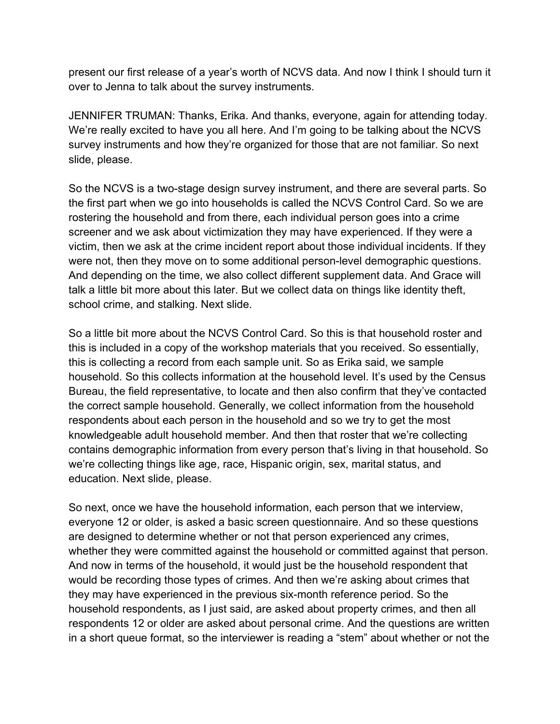present our first release of a year's worth of NCVS data. And now I think I should turn it over to Jenna to talk about the survey instruments.

JENNIFER TRUMAN: Thanks, Erika. And thanks, everyone, again for attending today. We're really excited to have you all here. And I'm going to be talking about the NCVS survey instruments and how they're organized for those that are not familiar. So next slide, please.

So the NCVS is a two-stage design survey instrument, and there are several parts. So the first part when we go into households is called the NCVS Control Card. So we are rostering the household and from there, each individual person goes into a crime screener and we ask about victimization they may have experienced. If they were a victim, then we ask at the crime incident report about those individual incidents. If they were not, then they move on to some additional person-level demographic questions. And depending on the time, we also collect different supplement data. And Grace will talk a little bit more about this later. But we collect data on things like identity theft, school crime, and stalking. Next slide.

So a little bit more about the NCVS Control Card. So this is that household roster and this is included in a copy of the workshop materials that you received. So essentially, this is collecting a record from each sample unit. So as Erika said, we sample household. So this collects information at the household level. It's used by the Census Bureau, the field representative, to locate and then also confirm that they've contacted the correct sample household. Generally, we collect information from the household respondents about each person in the household and so we try to get the most knowledgeable adult household member. And then that roster that we're collecting contains demographic information from every person that's living in that household. So we're collecting things like age, race, Hispanic origin, sex, marital status, and education. Next slide, please.

So next, once we have the household information, each person that we interview, everyone 12 or older, is asked a basic screen questionnaire. And so these questions are designed to determine whether or not that person experienced any crimes, whether they were committed against the household or committed against that person. And now in terms of the household, it would just be the household respondent that would be recording those types of crimes. And then we're asking about crimes that they may have experienced in the previous six-month reference period. So the household respondents, as I just said, are asked about property crimes, and then all respondents 12 or older are asked about personal crime. And the questions are written in a short queue format, so the interviewer is reading a "stem" about whether or not the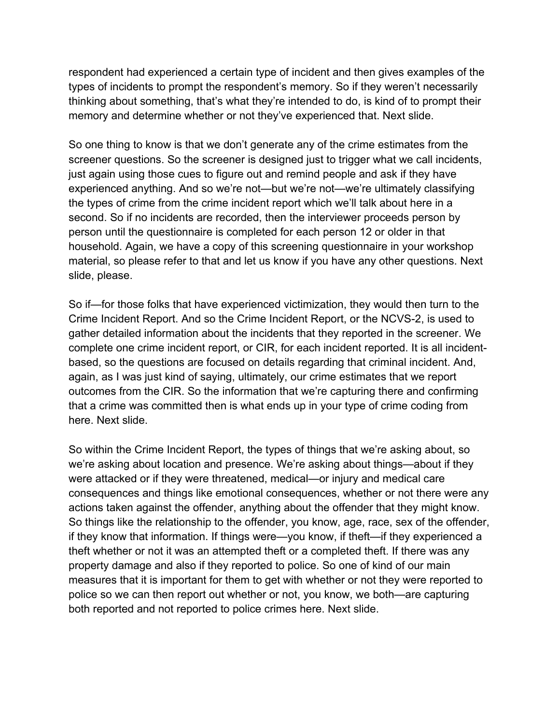respondent had experienced a certain type of incident and then gives examples of the types of incidents to prompt the respondent's memory. So if they weren't necessarily thinking about something, that's what they're intended to do, is kind of to prompt their memory and determine whether or not they've experienced that. Next slide.

So one thing to know is that we don't generate any of the crime estimates from the screener questions. So the screener is designed just to trigger what we call incidents, just again using those cues to figure out and remind people and ask if they have experienced anything. And so we're not—but we're not—we're ultimately classifying the types of crime from the crime incident report which we'll talk about here in a second. So if no incidents are recorded, then the interviewer proceeds person by person until the questionnaire is completed for each person 12 or older in that household. Again, we have a copy of this screening questionnaire in your workshop material, so please refer to that and let us know if you have any other questions. Next slide, please.

So if—for those folks that have experienced victimization, they would then turn to the Crime Incident Report. And so the Crime Incident Report, or the NCVS-2, is used to gather detailed information about the incidents that they reported in the screener. We complete one crime incident report, or CIR, for each incident reported. It is all incidentbased, so the questions are focused on details regarding that criminal incident. And, again, as I was just kind of saying, ultimately, our crime estimates that we report outcomes from the CIR. So the information that we're capturing there and confirming that a crime was committed then is what ends up in your type of crime coding from here. Next slide.

So within the Crime Incident Report, the types of things that we're asking about, so we're asking about location and presence. We're asking about things—about if they were attacked or if they were threatened, medical—or injury and medical care consequences and things like emotional consequences, whether or not there were any actions taken against the offender, anything about the offender that they might know. So things like the relationship to the offender, you know, age, race, sex of the offender, if they know that information. If things were—you know, if theft—if they experienced a theft whether or not it was an attempted theft or a completed theft. If there was any property damage and also if they reported to police. So one of kind of our main measures that it is important for them to get with whether or not they were reported to police so we can then report out whether or not, you know, we both—are capturing both reported and not reported to police crimes here. Next slide.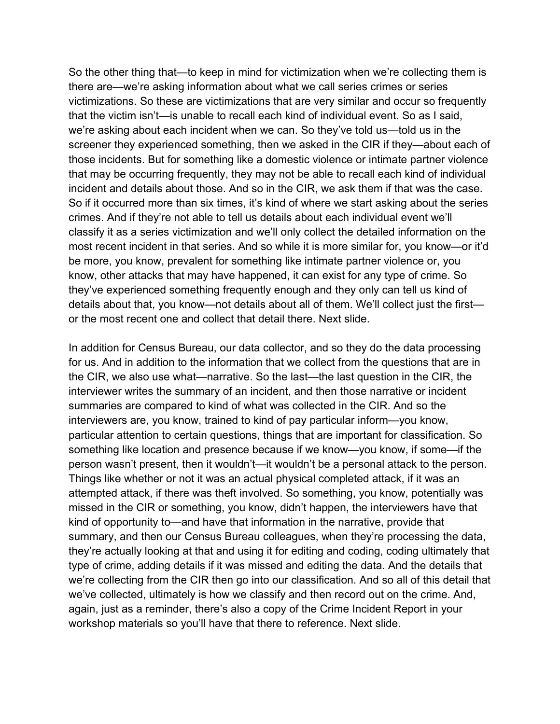So the other thing that—to keep in mind for victimization when we're collecting them is there are—we're asking information about what we call series crimes or series victimizations. So these are victimizations that are very similar and occur so frequently that the victim isn't—is unable to recall each kind of individual event. So as I said, we're asking about each incident when we can. So they've told us—told us in the screener they experienced something, then we asked in the CIR if they—about each of those incidents. But for something like a domestic violence or intimate partner violence that may be occurring frequently, they may not be able to recall each kind of individual incident and details about those. And so in the CIR, we ask them if that was the case. So if it occurred more than six times, it's kind of where we start asking about the series crimes. And if they're not able to tell us details about each individual event we'll classify it as a series victimization and we'll only collect the detailed information on the most recent incident in that series. And so while it is more similar for, you know—or it'd be more, you know, prevalent for something like intimate partner violence or, you know, other attacks that may have happened, it can exist for any type of crime. So they've experienced something frequently enough and they only can tell us kind of details about that, you know—not details about all of them. We'll collect just the first or the most recent one and collect that detail there. Next slide.

In addition for Census Bureau, our data collector, and so they do the data processing for us. And in addition to the information that we collect from the questions that are in the CIR, we also use what—narrative. So the last—the last question in the CIR, the interviewer writes the summary of an incident, and then those narrative or incident summaries are compared to kind of what was collected in the CIR. And so the interviewers are, you know, trained to kind of pay particular inform—you know, particular attention to certain questions, things that are important for classification. So something like location and presence because if we know—you know, if some—if the person wasn't present, then it wouldn't—it wouldn't be a personal attack to the person. Things like whether or not it was an actual physical completed attack, if it was an attempted attack, if there was theft involved. So something, you know, potentially was missed in the CIR or something, you know, didn't happen, the interviewers have that kind of opportunity to—and have that information in the narrative, provide that summary, and then our Census Bureau colleagues, when they're processing the data, they're actually looking at that and using it for editing and coding, coding ultimately that type of crime, adding details if it was missed and editing the data. And the details that we're collecting from the CIR then go into our classification. And so all of this detail that we've collected, ultimately is how we classify and then record out on the crime. And, again, just as a reminder, there's also a copy of the Crime Incident Report in your workshop materials so you'll have that there to reference. Next slide.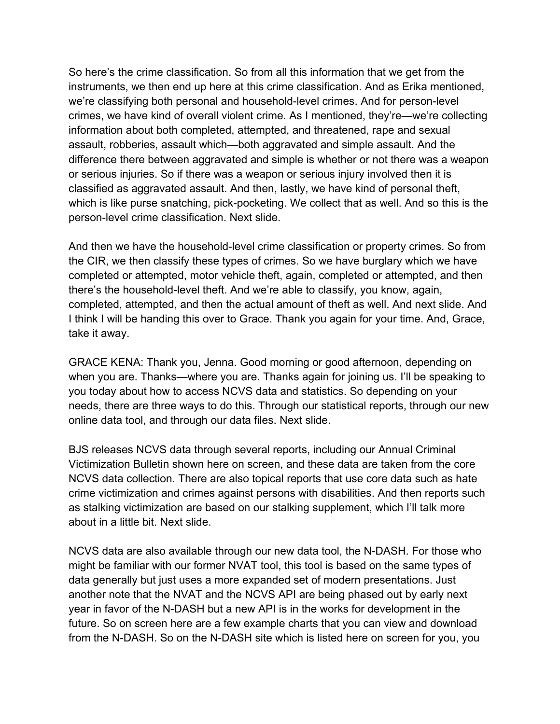So here's the crime classification. So from all this information that we get from the instruments, we then end up here at this crime classification. And as Erika mentioned, we're classifying both personal and household-level crimes. And for person-level crimes, we have kind of overall violent crime. As I mentioned, they're—we're collecting information about both completed, attempted, and threatened, rape and sexual assault, robberies, assault which—both aggravated and simple assault. And the difference there between aggravated and simple is whether or not there was a weapon or serious injuries. So if there was a weapon or serious injury involved then it is classified as aggravated assault. And then, lastly, we have kind of personal theft, which is like purse snatching, pick-pocketing. We collect that as well. And so this is the person-level crime classification. Next slide.

And then we have the household-level crime classification or property crimes. So from the CIR, we then classify these types of crimes. So we have burglary which we have completed or attempted, motor vehicle theft, again, completed or attempted, and then there's the household-level theft. And we're able to classify, you know, again, completed, attempted, and then the actual amount of theft as well. And next slide. And I think I will be handing this over to Grace. Thank you again for your time. And, Grace, take it away.

GRACE KENA: Thank you, Jenna. Good morning or good afternoon, depending on when you are. Thanks—where you are. Thanks again for joining us. I'll be speaking to you today about how to access NCVS data and statistics. So depending on your needs, there are three ways to do this. Through our statistical reports, through our new online data tool, and through our data files. Next slide.

BJS releases NCVS data through several reports, including our Annual Criminal Victimization Bulletin shown here on screen, and these data are taken from the core NCVS data collection. There are also topical reports that use core data such as hate crime victimization and crimes against persons with disabilities. And then reports such as stalking victimization are based on our stalking supplement, which I'll talk more about in a little bit. Next slide.

NCVS data are also available through our new data tool, the N-DASH. For those who might be familiar with our former NVAT tool, this tool is based on the same types of data generally but just uses a more expanded set of modern presentations. Just another note that the NVAT and the NCVS API are being phased out by early next year in favor of the N-DASH but a new API is in the works for development in the future. So on screen here are a few example charts that you can view and download from the N-DASH. So on the N-DASH site which is listed here on screen for you, you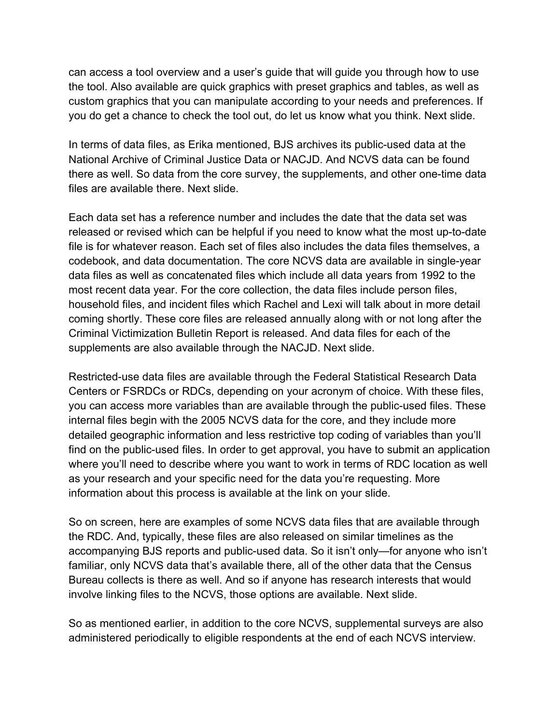can access a tool overview and a user's guide that will guide you through how to use the tool. Also available are quick graphics with preset graphics and tables, as well as custom graphics that you can manipulate according to your needs and preferences. If you do get a chance to check the tool out, do let us know what you think. Next slide.

In terms of data files, as Erika mentioned, BJS archives its public-used data at the National Archive of Criminal Justice Data or NACJD. And NCVS data can be found there as well. So data from the core survey, the supplements, and other one-time data files are available there. Next slide.

Each data set has a reference number and includes the date that the data set was released or revised which can be helpful if you need to know what the most up-to-date file is for whatever reason. Each set of files also includes the data files themselves, a codebook, and data documentation. The core NCVS data are available in single-year data files as well as concatenated files which include all data years from 1992 to the most recent data year. For the core collection, the data files include person files, household files, and incident files which Rachel and Lexi will talk about in more detail coming shortly. These core files are released annually along with or not long after the Criminal Victimization Bulletin Report is released. And data files for each of the supplements are also available through the NACJD. Next slide.

Restricted-use data files are available through the Federal Statistical Research Data Centers or FSRDCs or RDCs, depending on your acronym of choice. With these files, you can access more variables than are available through the public-used files. These internal files begin with the 2005 NCVS data for the core, and they include more detailed geographic information and less restrictive top coding of variables than you'll find on the public-used files. In order to get approval, you have to submit an application where you'll need to describe where you want to work in terms of RDC location as well as your research and your specific need for the data you're requesting. More information about this process is available at the link on your slide.

So on screen, here are examples of some NCVS data files that are available through the RDC. And, typically, these files are also released on similar timelines as the accompanying BJS reports and public-used data. So it isn't only—for anyone who isn't familiar, only NCVS data that's available there, all of the other data that the Census Bureau collects is there as well. And so if anyone has research interests that would involve linking files to the NCVS, those options are available. Next slide.

So as mentioned earlier, in addition to the core NCVS, supplemental surveys are also administered periodically to eligible respondents at the end of each NCVS interview.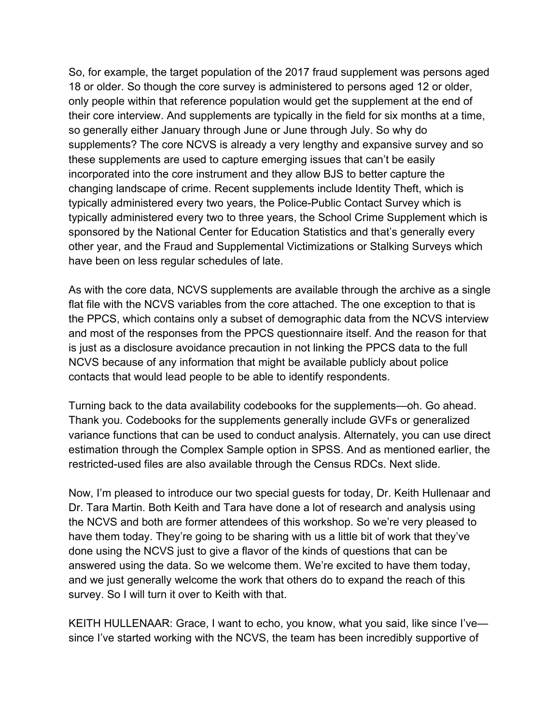So, for example, the target population of the 2017 fraud supplement was persons aged 18 or older. So though the core survey is administered to persons aged 12 or older, only people within that reference population would get the supplement at the end of their core interview. And supplements are typically in the field for six months at a time, so generally either January through June or June through July. So why do supplements? The core NCVS is already a very lengthy and expansive survey and so these supplements are used to capture emerging issues that can't be easily incorporated into the core instrument and they allow BJS to better capture the changing landscape of crime. Recent supplements include Identity Theft, which is typically administered every two years, the Police-Public Contact Survey which is typically administered every two to three years, the School Crime Supplement which is sponsored by the National Center for Education Statistics and that's generally every other year, and the Fraud and Supplemental Victimizations or Stalking Surveys which have been on less regular schedules of late.

As with the core data, NCVS supplements are available through the archive as a single flat file with the NCVS variables from the core attached. The one exception to that is the PPCS, which contains only a subset of demographic data from the NCVS interview and most of the responses from the PPCS questionnaire itself. And the reason for that is just as a disclosure avoidance precaution in not linking the PPCS data to the full NCVS because of any information that might be available publicly about police contacts that would lead people to be able to identify respondents.

Turning back to the data availability codebooks for the supplements—oh. Go ahead. Thank you. Codebooks for the supplements generally include GVFs or generalized variance functions that can be used to conduct analysis. Alternately, you can use direct estimation through the Complex Sample option in SPSS. And as mentioned earlier, the restricted-used files are also available through the Census RDCs. Next slide.

Now, I'm pleased to introduce our two special guests for today, Dr. Keith Hullenaar and Dr. Tara Martin. Both Keith and Tara have done a lot of research and analysis using the NCVS and both are former attendees of this workshop. So we're very pleased to have them today. They're going to be sharing with us a little bit of work that they've done using the NCVS just to give a flavor of the kinds of questions that can be answered using the data. So we welcome them. We're excited to have them today, and we just generally welcome the work that others do to expand the reach of this survey. So I will turn it over to Keith with that.

KEITH HULLENAAR: Grace, I want to echo, you know, what you said, like since I've since I've started working with the NCVS, the team has been incredibly supportive of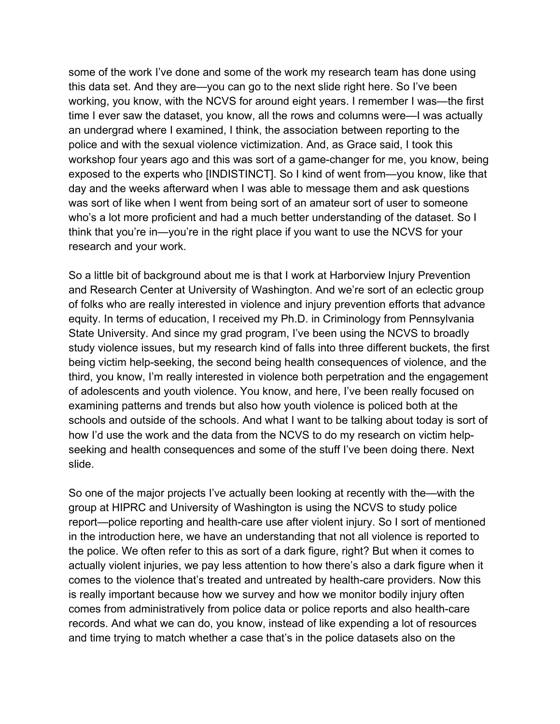some of the work I've done and some of the work my research team has done using this data set. And they are—you can go to the next slide right here. So I've been working, you know, with the NCVS for around eight years. I remember I was—the first time I ever saw the dataset, you know, all the rows and columns were—I was actually an undergrad where I examined, I think, the association between reporting to the police and with the sexual violence victimization. And, as Grace said, I took this workshop four years ago and this was sort of a game-changer for me, you know, being exposed to the experts who [INDISTINCT]. So I kind of went from—you know, like that day and the weeks afterward when I was able to message them and ask questions was sort of like when I went from being sort of an amateur sort of user to someone who's a lot more proficient and had a much better understanding of the dataset. So I think that you're in—you're in the right place if you want to use the NCVS for your research and your work.

So a little bit of background about me is that I work at Harborview Injury Prevention and Research Center at University of Washington. And we're sort of an eclectic group of folks who are really interested in violence and injury prevention efforts that advance equity. In terms of education, I received my Ph.D. in Criminology from Pennsylvania State University. And since my grad program, I've been using the NCVS to broadly study violence issues, but my research kind of falls into three different buckets, the first being victim help-seeking, the second being health consequences of violence, and the third, you know, I'm really interested in violence both perpetration and the engagement of adolescents and youth violence. You know, and here, I've been really focused on examining patterns and trends but also how youth violence is policed both at the schools and outside of the schools. And what I want to be talking about today is sort of how I'd use the work and the data from the NCVS to do my research on victim helpseeking and health consequences and some of the stuff I've been doing there. Next slide.

So one of the major projects I've actually been looking at recently with the—with the group at HIPRC and University of Washington is using the NCVS to study police report—police reporting and health-care use after violent injury. So I sort of mentioned in the introduction here, we have an understanding that not all violence is reported to the police. We often refer to this as sort of a dark figure, right? But when it comes to actually violent injuries, we pay less attention to how there's also a dark figure when it comes to the violence that's treated and untreated by health-care providers. Now this is really important because how we survey and how we monitor bodily injury often comes from administratively from police data or police reports and also health-care records. And what we can do, you know, instead of like expending a lot of resources and time trying to match whether a case that's in the police datasets also on the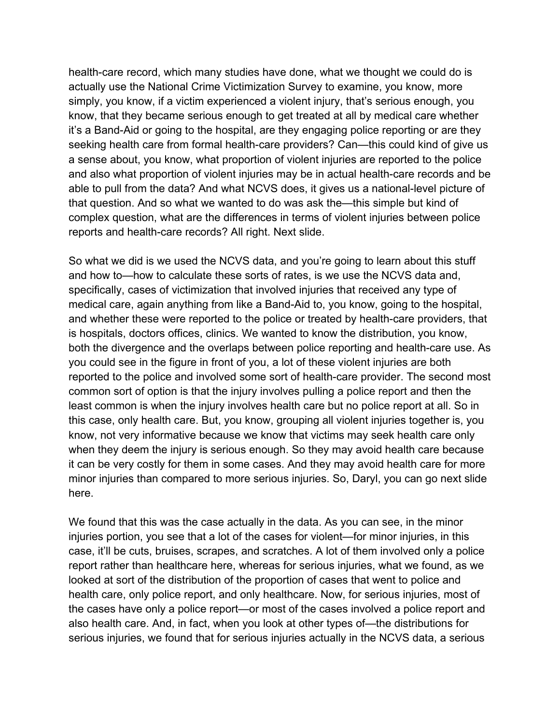health-care record, which many studies have done, what we thought we could do is actually use the National Crime Victimization Survey to examine, you know, more simply, you know, if a victim experienced a violent injury, that's serious enough, you know, that they became serious enough to get treated at all by medical care whether it's a Band-Aid or going to the hospital, are they engaging police reporting or are they seeking health care from formal health-care providers? Can—this could kind of give us a sense about, you know, what proportion of violent injuries are reported to the police and also what proportion of violent injuries may be in actual health-care records and be able to pull from the data? And what NCVS does, it gives us a national-level picture of that question. And so what we wanted to do was ask the—this simple but kind of complex question, what are the differences in terms of violent injuries between police reports and health-care records? All right. Next slide.

So what we did is we used the NCVS data, and you're going to learn about this stuff and how to—how to calculate these sorts of rates, is we use the NCVS data and, specifically, cases of victimization that involved injuries that received any type of medical care, again anything from like a Band-Aid to, you know, going to the hospital, and whether these were reported to the police or treated by health-care providers, that is hospitals, doctors offices, clinics. We wanted to know the distribution, you know, both the divergence and the overlaps between police reporting and health-care use. As you could see in the figure in front of you, a lot of these violent injuries are both reported to the police and involved some sort of health-care provider. The second most common sort of option is that the injury involves pulling a police report and then the least common is when the injury involves health care but no police report at all. So in this case, only health care. But, you know, grouping all violent injuries together is, you know, not very informative because we know that victims may seek health care only when they deem the injury is serious enough. So they may avoid health care because it can be very costly for them in some cases. And they may avoid health care for more minor injuries than compared to more serious injuries. So, Daryl, you can go next slide here.

We found that this was the case actually in the data. As you can see, in the minor injuries portion, you see that a lot of the cases for violent—for minor injuries, in this case, it'll be cuts, bruises, scrapes, and scratches. A lot of them involved only a police report rather than healthcare here, whereas for serious injuries, what we found, as we looked at sort of the distribution of the proportion of cases that went to police and health care, only police report, and only healthcare. Now, for serious injuries, most of the cases have only a police report—or most of the cases involved a police report and also health care. And, in fact, when you look at other types of—the distributions for serious injuries, we found that for serious injuries actually in the NCVS data, a serious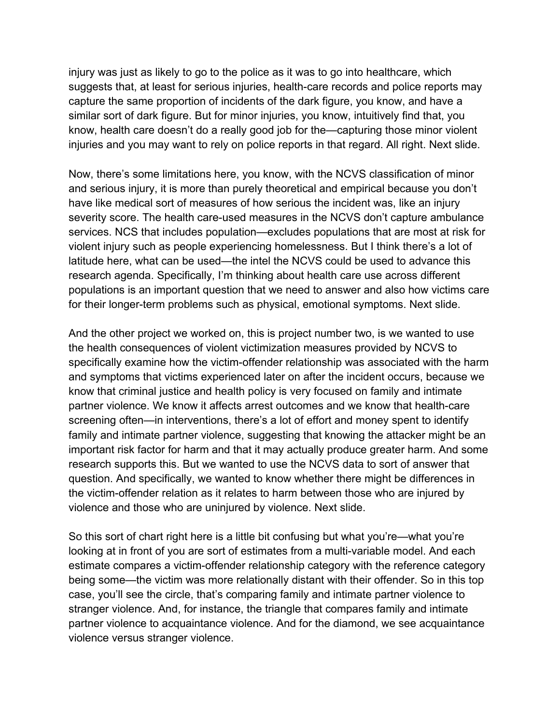injury was just as likely to go to the police as it was to go into healthcare, which suggests that, at least for serious injuries, health-care records and police reports may capture the same proportion of incidents of the dark figure, you know, and have a similar sort of dark figure. But for minor injuries, you know, intuitively find that, you know, health care doesn't do a really good job for the—capturing those minor violent injuries and you may want to rely on police reports in that regard. All right. Next slide.

Now, there's some limitations here, you know, with the NCVS classification of minor and serious injury, it is more than purely theoretical and empirical because you don't have like medical sort of measures of how serious the incident was, like an injury severity score. The health care-used measures in the NCVS don't capture ambulance services. NCS that includes population—excludes populations that are most at risk for violent injury such as people experiencing homelessness. But I think there's a lot of latitude here, what can be used—the intel the NCVS could be used to advance this research agenda. Specifically, I'm thinking about health care use across different populations is an important question that we need to answer and also how victims care for their longer-term problems such as physical, emotional symptoms. Next slide.

And the other project we worked on, this is project number two, is we wanted to use the health consequences of violent victimization measures provided by NCVS to specifically examine how the victim-offender relationship was associated with the harm and symptoms that victims experienced later on after the incident occurs, because we know that criminal justice and health policy is very focused on family and intimate partner violence. We know it affects arrest outcomes and we know that health-care screening often—in interventions, there's a lot of effort and money spent to identify family and intimate partner violence, suggesting that knowing the attacker might be an important risk factor for harm and that it may actually produce greater harm. And some research supports this. But we wanted to use the NCVS data to sort of answer that question. And specifically, we wanted to know whether there might be differences in the victim-offender relation as it relates to harm between those who are injured by violence and those who are uninjured by violence. Next slide.

So this sort of chart right here is a little bit confusing but what you're—what you're looking at in front of you are sort of estimates from a multi-variable model. And each estimate compares a victim-offender relationship category with the reference category being some—the victim was more relationally distant with their offender. So in this top case, you'll see the circle, that's comparing family and intimate partner violence to stranger violence. And, for instance, the triangle that compares family and intimate partner violence to acquaintance violence. And for the diamond, we see acquaintance violence versus stranger violence.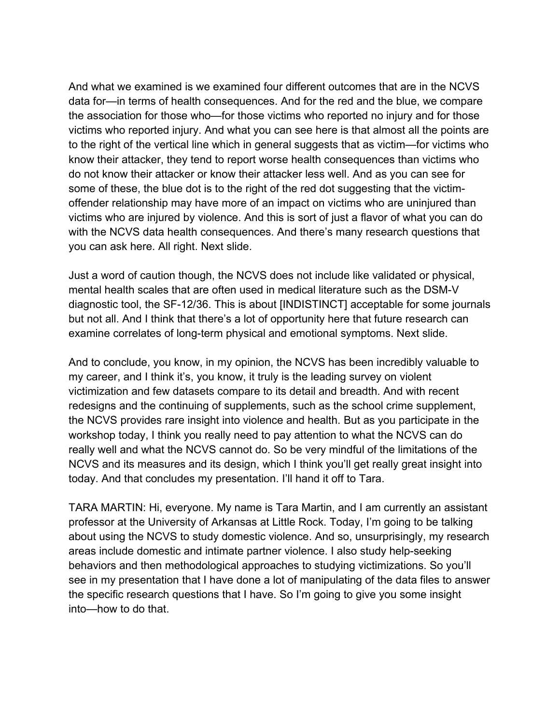And what we examined is we examined four different outcomes that are in the NCVS data for—in terms of health consequences. And for the red and the blue, we compare the association for those who—for those victims who reported no injury and for those victims who reported injury. And what you can see here is that almost all the points are to the right of the vertical line which in general suggests that as victim—for victims who know their attacker, they tend to report worse health consequences than victims who do not know their attacker or know their attacker less well. And as you can see for some of these, the blue dot is to the right of the red dot suggesting that the victimoffender relationship may have more of an impact on victims who are uninjured than victims who are injured by violence. And this is sort of just a flavor of what you can do with the NCVS data health consequences. And there's many research questions that you can ask here. All right. Next slide.

Just a word of caution though, the NCVS does not include like validated or physical, mental health scales that are often used in medical literature such as the DSM-V diagnostic tool, the SF-12/36. This is about [INDISTINCT] acceptable for some journals but not all. And I think that there's a lot of opportunity here that future research can examine correlates of long-term physical and emotional symptoms. Next slide.

And to conclude, you know, in my opinion, the NCVS has been incredibly valuable to my career, and I think it's, you know, it truly is the leading survey on violent victimization and few datasets compare to its detail and breadth. And with recent redesigns and the continuing of supplements, such as the school crime supplement, the NCVS provides rare insight into violence and health. But as you participate in the workshop today, I think you really need to pay attention to what the NCVS can do really well and what the NCVS cannot do. So be very mindful of the limitations of the NCVS and its measures and its design, which I think you'll get really great insight into today. And that concludes my presentation. I'll hand it off to Tara.

TARA MARTIN: Hi, everyone. My name is Tara Martin, and I am currently an assistant professor at the University of Arkansas at Little Rock. Today, I'm going to be talking about using the NCVS to study domestic violence. And so, unsurprisingly, my research areas include domestic and intimate partner violence. I also study help-seeking behaviors and then methodological approaches to studying victimizations. So you'll see in my presentation that I have done a lot of manipulating of the data files to answer the specific research questions that I have. So I'm going to give you some insight into—how to do that.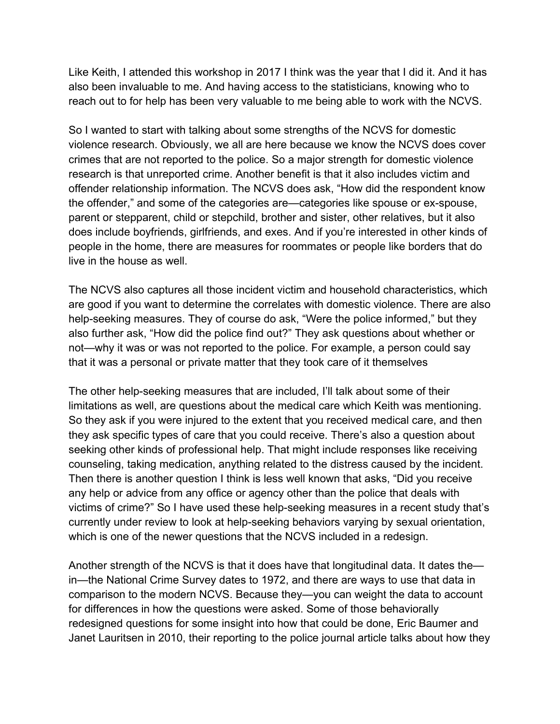Like Keith, I attended this workshop in 2017 I think was the year that I did it. And it has also been invaluable to me. And having access to the statisticians, knowing who to reach out to for help has been very valuable to me being able to work with the NCVS.

So I wanted to start with talking about some strengths of the NCVS for domestic violence research. Obviously, we all are here because we know the NCVS does cover crimes that are not reported to the police. So a major strength for domestic violence research is that unreported crime. Another benefit is that it also includes victim and offender relationship information. The NCVS does ask, "How did the respondent know the offender," and some of the categories are—categories like spouse or ex-spouse, parent or stepparent, child or stepchild, brother and sister, other relatives, but it also does include boyfriends, girlfriends, and exes. And if you're interested in other kinds of people in the home, there are measures for roommates or people like borders that do live in the house as well.

The NCVS also captures all those incident victim and household characteristics, which are good if you want to determine the correlates with domestic violence. There are also help-seeking measures. They of course do ask, "Were the police informed," but they also further ask, "How did the police find out?" They ask questions about whether or not—why it was or was not reported to the police. For example, a person could say that it was a personal or private matter that they took care of it themselves

The other help-seeking measures that are included, I'll talk about some of their limitations as well, are questions about the medical care which Keith was mentioning. So they ask if you were injured to the extent that you received medical care, and then they ask specific types of care that you could receive. There's also a question about seeking other kinds of professional help. That might include responses like receiving counseling, taking medication, anything related to the distress caused by the incident. Then there is another question I think is less well known that asks, "Did you receive any help or advice from any office or agency other than the police that deals with victims of crime?" So I have used these help-seeking measures in a recent study that's currently under review to look at help-seeking behaviors varying by sexual orientation, which is one of the newer questions that the NCVS included in a redesign.

Another strength of the NCVS is that it does have that longitudinal data. It dates the in—the National Crime Survey dates to 1972, and there are ways to use that data in comparison to the modern NCVS. Because they—you can weight the data to account for differences in how the questions were asked. Some of those behaviorally redesigned questions for some insight into how that could be done, Eric Baumer and Janet Lauritsen in 2010, their reporting to the police journal article talks about how they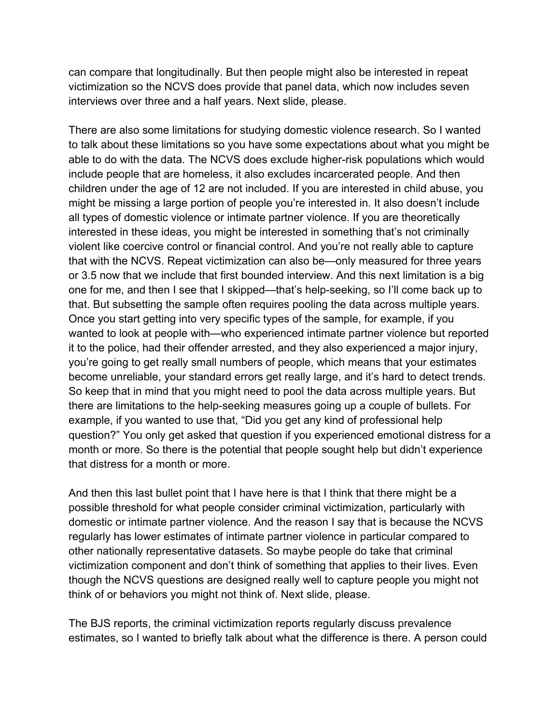can compare that longitudinally. But then people might also be interested in repeat victimization so the NCVS does provide that panel data, which now includes seven interviews over three and a half years. Next slide, please.

There are also some limitations for studying domestic violence research. So I wanted to talk about these limitations so you have some expectations about what you might be able to do with the data. The NCVS does exclude higher-risk populations which would include people that are homeless, it also excludes incarcerated people. And then children under the age of 12 are not included. If you are interested in child abuse, you might be missing a large portion of people you're interested in. It also doesn't include all types of domestic violence or intimate partner violence. If you are theoretically interested in these ideas, you might be interested in something that's not criminally violent like coercive control or financial control. And you're not really able to capture that with the NCVS. Repeat victimization can also be—only measured for three years or 3.5 now that we include that first bounded interview. And this next limitation is a big one for me, and then I see that I skipped—that's help-seeking, so I'll come back up to that. But subsetting the sample often requires pooling the data across multiple years. Once you start getting into very specific types of the sample, for example, if you wanted to look at people with—who experienced intimate partner violence but reported it to the police, had their offender arrested, and they also experienced a major injury, you're going to get really small numbers of people, which means that your estimates become unreliable, your standard errors get really large, and it's hard to detect trends. So keep that in mind that you might need to pool the data across multiple years. But there are limitations to the help-seeking measures going up a couple of bullets. For example, if you wanted to use that, "Did you get any kind of professional help question?" You only get asked that question if you experienced emotional distress for a month or more. So there is the potential that people sought help but didn't experience that distress for a month or more.

And then this last bullet point that I have here is that I think that there might be a possible threshold for what people consider criminal victimization, particularly with domestic or intimate partner violence. And the reason I say that is because the NCVS regularly has lower estimates of intimate partner violence in particular compared to other nationally representative datasets. So maybe people do take that criminal victimization component and don't think of something that applies to their lives. Even though the NCVS questions are designed really well to capture people you might not think of or behaviors you might not think of. Next slide, please.

The BJS reports, the criminal victimization reports regularly discuss prevalence estimates, so I wanted to briefly talk about what the difference is there. A person could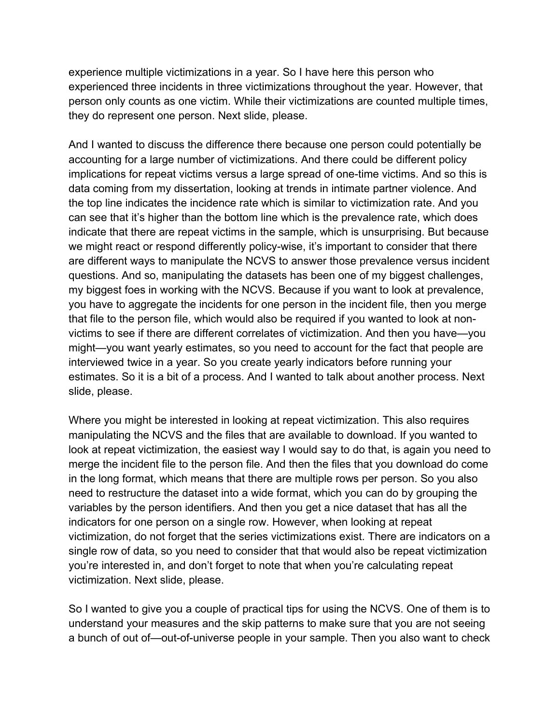experience multiple victimizations in a year. So I have here this person who experienced three incidents in three victimizations throughout the year. However, that person only counts as one victim. While their victimizations are counted multiple times, they do represent one person. Next slide, please.

And I wanted to discuss the difference there because one person could potentially be accounting for a large number of victimizations. And there could be different policy implications for repeat victims versus a large spread of one-time victims. And so this is data coming from my dissertation, looking at trends in intimate partner violence. And the top line indicates the incidence rate which is similar to victimization rate. And you can see that it's higher than the bottom line which is the prevalence rate, which does indicate that there are repeat victims in the sample, which is unsurprising. But because we might react or respond differently policy-wise, it's important to consider that there are different ways to manipulate the NCVS to answer those prevalence versus incident questions. And so, manipulating the datasets has been one of my biggest challenges, my biggest foes in working with the NCVS. Because if you want to look at prevalence, you have to aggregate the incidents for one person in the incident file, then you merge that file to the person file, which would also be required if you wanted to look at nonvictims to see if there are different correlates of victimization. And then you have—you might—you want yearly estimates, so you need to account for the fact that people are interviewed twice in a year. So you create yearly indicators before running your estimates. So it is a bit of a process. And I wanted to talk about another process. Next slide, please.

Where you might be interested in looking at repeat victimization. This also requires manipulating the NCVS and the files that are available to download. If you wanted to look at repeat victimization, the easiest way I would say to do that, is again you need to merge the incident file to the person file. And then the files that you download do come in the long format, which means that there are multiple rows per person. So you also need to restructure the dataset into a wide format, which you can do by grouping the variables by the person identifiers. And then you get a nice dataset that has all the indicators for one person on a single row. However, when looking at repeat victimization, do not forget that the series victimizations exist. There are indicators on a single row of data, so you need to consider that that would also be repeat victimization you're interested in, and don't forget to note that when you're calculating repeat victimization. Next slide, please.

So I wanted to give you a couple of practical tips for using the NCVS. One of them is to understand your measures and the skip patterns to make sure that you are not seeing a bunch of out of—out-of-universe people in your sample. Then you also want to check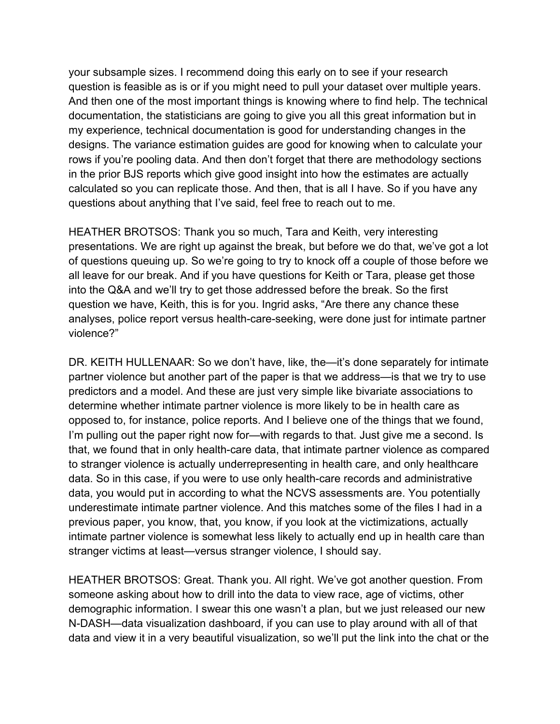your subsample sizes. I recommend doing this early on to see if your research question is feasible as is or if you might need to pull your dataset over multiple years. And then one of the most important things is knowing where to find help. The technical documentation, the statisticians are going to give you all this great information but in my experience, technical documentation is good for understanding changes in the designs. The variance estimation guides are good for knowing when to calculate your rows if you're pooling data. And then don't forget that there are methodology sections in the prior BJS reports which give good insight into how the estimates are actually calculated so you can replicate those. And then, that is all I have. So if you have any questions about anything that I've said, feel free to reach out to me.

HEATHER BROTSOS: Thank you so much, Tara and Keith, very interesting presentations. We are right up against the break, but before we do that, we've got a lot of questions queuing up. So we're going to try to knock off a couple of those before we all leave for our break. And if you have questions for Keith or Tara, please get those into the Q&A and we'll try to get those addressed before the break. So the first question we have, Keith, this is for you. Ingrid asks, "Are there any chance these analyses, police report versus health-care-seeking, were done just for intimate partner violence?"

DR. KEITH HULLENAAR: So we don't have, like, the—it's done separately for intimate partner violence but another part of the paper is that we address—is that we try to use predictors and a model. And these are just very simple like bivariate associations to determine whether intimate partner violence is more likely to be in health care as opposed to, for instance, police reports. And I believe one of the things that we found, I'm pulling out the paper right now for—with regards to that. Just give me a second. Is that, we found that in only health-care data, that intimate partner violence as compared to stranger violence is actually underrepresenting in health care, and only healthcare data. So in this case, if you were to use only health-care records and administrative data, you would put in according to what the NCVS assessments are. You potentially underestimate intimate partner violence. And this matches some of the files I had in a previous paper, you know, that, you know, if you look at the victimizations, actually intimate partner violence is somewhat less likely to actually end up in health care than stranger victims at least—versus stranger violence, I should say.

HEATHER BROTSOS: Great. Thank you. All right. We've got another question. From someone asking about how to drill into the data to view race, age of victims, other demographic information. I swear this one wasn't a plan, but we just released our new N-DASH—data visualization dashboard, if you can use to play around with all of that data and view it in a very beautiful visualization, so we'll put the link into the chat or the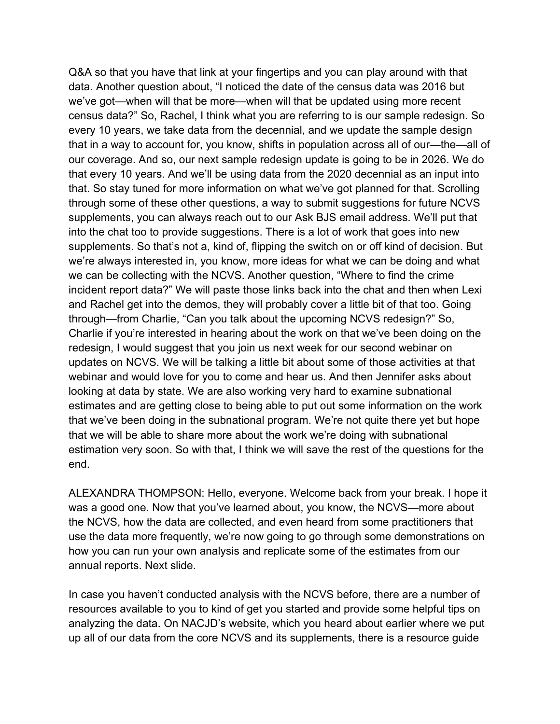Q&A so that you have that link at your fingertips and you can play around with that data. Another question about, "I noticed the date of the census data was 2016 but we've got—when will that be more—when will that be updated using more recent census data?" So, Rachel, I think what you are referring to is our sample redesign. So every 10 years, we take data from the decennial, and we update the sample design that in a way to account for, you know, shifts in population across all of our—the—all of our coverage. And so, our next sample redesign update is going to be in 2026. We do that every 10 years. And we'll be using data from the 2020 decennial as an input into that. So stay tuned for more information on what we've got planned for that. Scrolling through some of these other questions, a way to submit suggestions for future NCVS supplements, you can always reach out to our Ask BJS email address. We'll put that into the chat too to provide suggestions. There is a lot of work that goes into new supplements. So that's not a, kind of, flipping the switch on or off kind of decision. But we're always interested in, you know, more ideas for what we can be doing and what we can be collecting with the NCVS. Another question, "Where to find the crime incident report data?" We will paste those links back into the chat and then when Lexi and Rachel get into the demos, they will probably cover a little bit of that too. Going through—from Charlie, "Can you talk about the upcoming NCVS redesign?" So, Charlie if you're interested in hearing about the work on that we've been doing on the redesign, I would suggest that you join us next week for our second webinar on updates on NCVS. We will be talking a little bit about some of those activities at that webinar and would love for you to come and hear us. And then Jennifer asks about looking at data by state. We are also working very hard to examine subnational estimates and are getting close to being able to put out some information on the work that we've been doing in the subnational program. We're not quite there yet but hope that we will be able to share more about the work we're doing with subnational estimation very soon. So with that, I think we will save the rest of the questions for the end.

ALEXANDRA THOMPSON: Hello, everyone. Welcome back from your break. I hope it was a good one. Now that you've learned about, you know, the NCVS—more about the NCVS, how the data are collected, and even heard from some practitioners that use the data more frequently, we're now going to go through some demonstrations on how you can run your own analysis and replicate some of the estimates from our annual reports. Next slide.

In case you haven't conducted analysis with the NCVS before, there are a number of resources available to you to kind of get you started and provide some helpful tips on analyzing the data. On NACJD's website, which you heard about earlier where we put up all of our data from the core NCVS and its supplements, there is a resource guide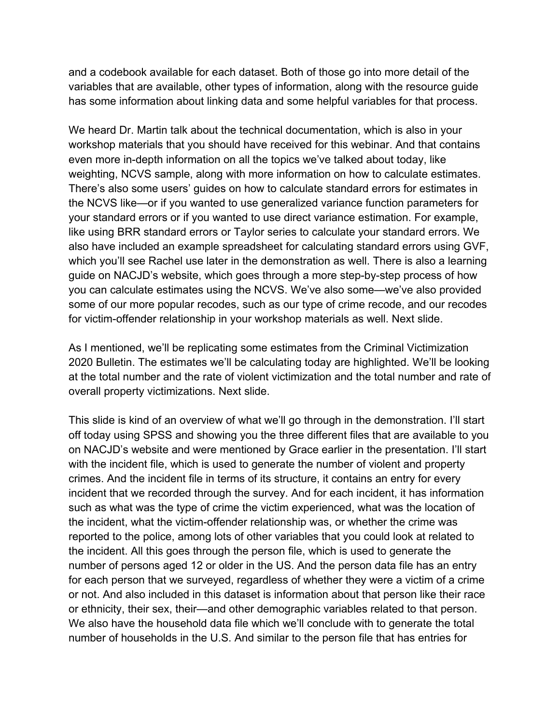and a codebook available for each dataset. Both of those go into more detail of the variables that are available, other types of information, along with the resource guide has some information about linking data and some helpful variables for that process.

We heard Dr. Martin talk about the technical documentation, which is also in your workshop materials that you should have received for this webinar. And that contains even more in-depth information on all the topics we've talked about today, like weighting, NCVS sample, along with more information on how to calculate estimates. There's also some users' guides on how to calculate standard errors for estimates in the NCVS like—or if you wanted to use generalized variance function parameters for your standard errors or if you wanted to use direct variance estimation. For example, like using BRR standard errors or Taylor series to calculate your standard errors. We also have included an example spreadsheet for calculating standard errors using GVF, which you'll see Rachel use later in the demonstration as well. There is also a learning guide on NACJD's website, which goes through a more step-by-step process of how you can calculate estimates using the NCVS. We've also some—we've also provided some of our more popular recodes, such as our type of crime recode, and our recodes for victim-offender relationship in your workshop materials as well. Next slide.

As I mentioned, we'll be replicating some estimates from the Criminal Victimization 2020 Bulletin. The estimates we'll be calculating today are highlighted. We'll be looking at the total number and the rate of violent victimization and the total number and rate of overall property victimizations. Next slide.

This slide is kind of an overview of what we'll go through in the demonstration. I'll start off today using SPSS and showing you the three different files that are available to you on NACJD's website and were mentioned by Grace earlier in the presentation. I'll start with the incident file, which is used to generate the number of violent and property crimes. And the incident file in terms of its structure, it contains an entry for every incident that we recorded through the survey. And for each incident, it has information such as what was the type of crime the victim experienced, what was the location of the incident, what the victim-offender relationship was, or whether the crime was reported to the police, among lots of other variables that you could look at related to the incident. All this goes through the person file, which is used to generate the number of persons aged 12 or older in the US. And the person data file has an entry for each person that we surveyed, regardless of whether they were a victim of a crime or not. And also included in this dataset is information about that person like their race or ethnicity, their sex, their—and other demographic variables related to that person. We also have the household data file which we'll conclude with to generate the total number of households in the U.S. And similar to the person file that has entries for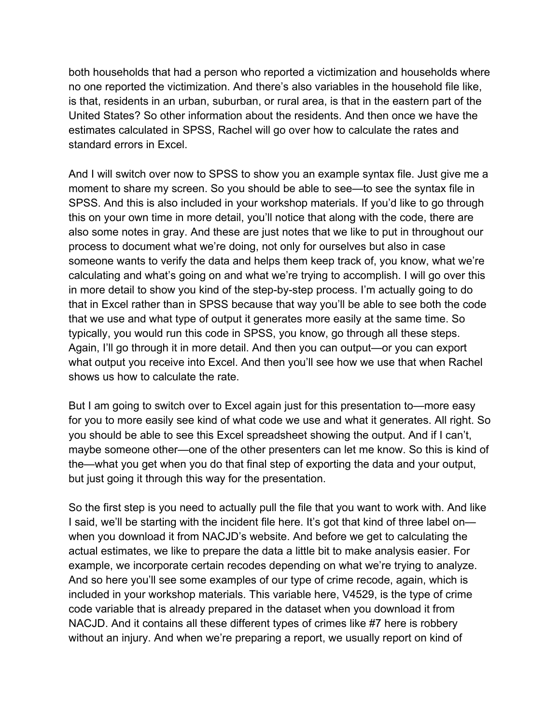both households that had a person who reported a victimization and households where no one reported the victimization. And there's also variables in the household file like, is that, residents in an urban, suburban, or rural area, is that in the eastern part of the United States? So other information about the residents. And then once we have the estimates calculated in SPSS, Rachel will go over how to calculate the rates and standard errors in Excel.

And I will switch over now to SPSS to show you an example syntax file. Just give me a moment to share my screen. So you should be able to see—to see the syntax file in SPSS. And this is also included in your workshop materials. If you'd like to go through this on your own time in more detail, you'll notice that along with the code, there are also some notes in gray. And these are just notes that we like to put in throughout our process to document what we're doing, not only for ourselves but also in case someone wants to verify the data and helps them keep track of, you know, what we're calculating and what's going on and what we're trying to accomplish. I will go over this in more detail to show you kind of the step-by-step process. I'm actually going to do that in Excel rather than in SPSS because that way you'll be able to see both the code that we use and what type of output it generates more easily at the same time. So typically, you would run this code in SPSS, you know, go through all these steps. Again, I'll go through it in more detail. And then you can output—or you can export what output you receive into Excel. And then you'll see how we use that when Rachel shows us how to calculate the rate.

But I am going to switch over to Excel again just for this presentation to—more easy for you to more easily see kind of what code we use and what it generates. All right. So you should be able to see this Excel spreadsheet showing the output. And if I can't, maybe someone other—one of the other presenters can let me know. So this is kind of the—what you get when you do that final step of exporting the data and your output, but just going it through this way for the presentation.

So the first step is you need to actually pull the file that you want to work with. And like I said, we'll be starting with the incident file here. It's got that kind of three label on when you download it from NACJD's website. And before we get to calculating the actual estimates, we like to prepare the data a little bit to make analysis easier. For example, we incorporate certain recodes depending on what we're trying to analyze. And so here you'll see some examples of our type of crime recode, again, which is included in your workshop materials. This variable here, V4529, is the type of crime code variable that is already prepared in the dataset when you download it from NACJD. And it contains all these different types of crimes like #7 here is robbery without an injury. And when we're preparing a report, we usually report on kind of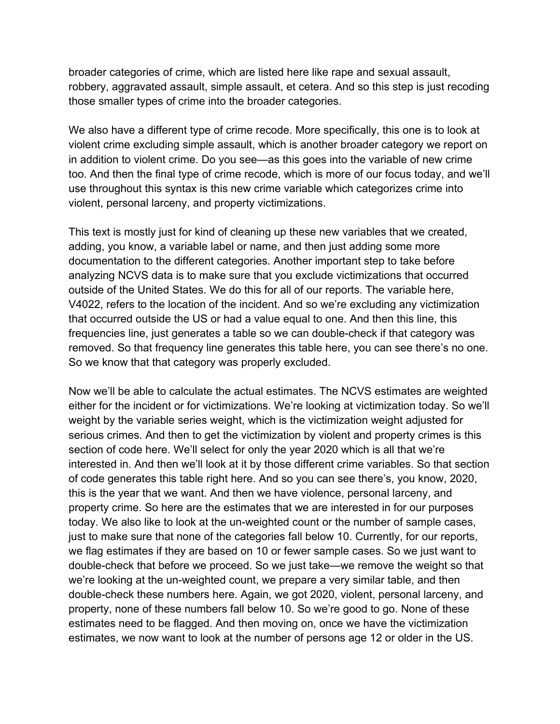broader categories of crime, which are listed here like rape and sexual assault, robbery, aggravated assault, simple assault, et cetera. And so this step is just recoding those smaller types of crime into the broader categories.

We also have a different type of crime recode. More specifically, this one is to look at violent crime excluding simple assault, which is another broader category we report on in addition to violent crime. Do you see—as this goes into the variable of new crime too. And then the final type of crime recode, which is more of our focus today, and we'll use throughout this syntax is this new crime variable which categorizes crime into violent, personal larceny, and property victimizations.

This text is mostly just for kind of cleaning up these new variables that we created, adding, you know, a variable label or name, and then just adding some more documentation to the different categories. Another important step to take before analyzing NCVS data is to make sure that you exclude victimizations that occurred outside of the United States. We do this for all of our reports. The variable here, V4022, refers to the location of the incident. And so we're excluding any victimization that occurred outside the US or had a value equal to one. And then this line, this frequencies line, just generates a table so we can double-check if that category was removed. So that frequency line generates this table here, you can see there's no one. So we know that that category was properly excluded.

Now we'll be able to calculate the actual estimates. The NCVS estimates are weighted either for the incident or for victimizations. We're looking at victimization today. So we'll weight by the variable series weight, which is the victimization weight adjusted for serious crimes. And then to get the victimization by violent and property crimes is this section of code here. We'll select for only the year 2020 which is all that we're interested in. And then we'll look at it by those different crime variables. So that section of code generates this table right here. And so you can see there's, you know, 2020, this is the year that we want. And then we have violence, personal larceny, and property crime. So here are the estimates that we are interested in for our purposes today. We also like to look at the un-weighted count or the number of sample cases, just to make sure that none of the categories fall below 10. Currently, for our reports, we flag estimates if they are based on 10 or fewer sample cases. So we just want to double-check that before we proceed. So we just take—we remove the weight so that we're looking at the un-weighted count, we prepare a very similar table, and then double-check these numbers here. Again, we got 2020, violent, personal larceny, and property, none of these numbers fall below 10. So we're good to go. None of these estimates need to be flagged. And then moving on, once we have the victimization estimates, we now want to look at the number of persons age 12 or older in the US.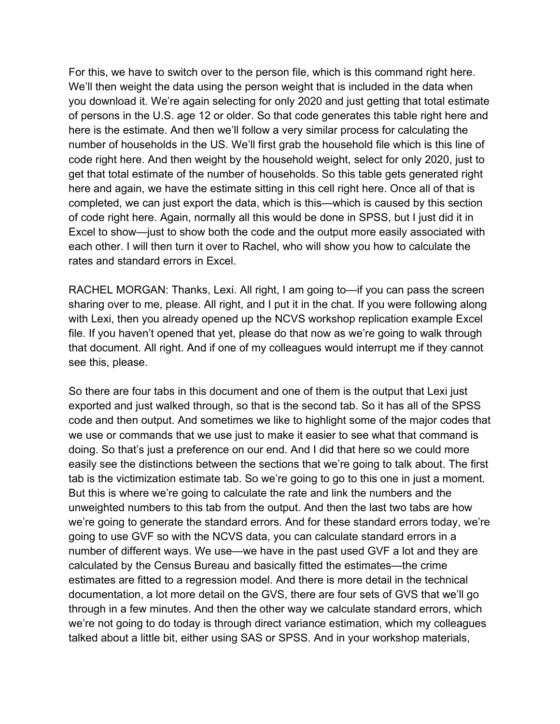For this, we have to switch over to the person file, which is this command right here. We'll then weight the data using the person weight that is included in the data when you download it. We're again selecting for only 2020 and just getting that total estimate of persons in the U.S. age 12 or older. So that code generates this table right here and here is the estimate. And then we'll follow a very similar process for calculating the number of households in the US. We'll first grab the household file which is this line of code right here. And then weight by the household weight, select for only 2020, just to get that total estimate of the number of households. So this table gets generated right here and again, we have the estimate sitting in this cell right here. Once all of that is completed, we can just export the data, which is this—which is caused by this section of code right here. Again, normally all this would be done in SPSS, but I just did it in Excel to show—just to show both the code and the output more easily associated with each other. I will then turn it over to Rachel, who will show you how to calculate the rates and standard errors in Excel.

RACHEL MORGAN: Thanks, Lexi. All right, I am going to—if you can pass the screen sharing over to me, please. All right, and I put it in the chat. If you were following along with Lexi, then you already opened up the NCVS workshop replication example Excel file. If you haven't opened that yet, please do that now as we're going to walk through that document. All right. And if one of my colleagues would interrupt me if they cannot see this, please.

So there are four tabs in this document and one of them is the output that Lexi just exported and just walked through, so that is the second tab. So it has all of the SPSS code and then output. And sometimes we like to highlight some of the major codes that we use or commands that we use just to make it easier to see what that command is doing. So that's just a preference on our end. And I did that here so we could more easily see the distinctions between the sections that we're going to talk about. The first tab is the victimization estimate tab. So we're going to go to this one in just a moment. But this is where we're going to calculate the rate and link the numbers and the unweighted numbers to this tab from the output. And then the last two tabs are how we're going to generate the standard errors. And for these standard errors today, we're going to use GVF so with the NCVS data, you can calculate standard errors in a number of different ways. We use—we have in the past used GVF a lot and they are calculated by the Census Bureau and basically fitted the estimates—the crime estimates are fitted to a regression model. And there is more detail in the technical documentation, a lot more detail on the GVS, there are four sets of GVS that we'll go through in a few minutes. And then the other way we calculate standard errors, which we're not going to do today is through direct variance estimation, which my colleagues talked about a little bit, either using SAS or SPSS. And in your workshop materials,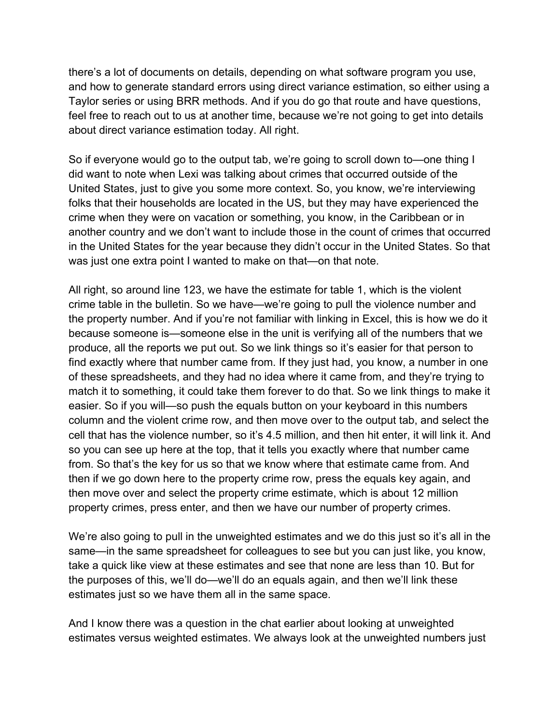there's a lot of documents on details, depending on what software program you use, and how to generate standard errors using direct variance estimation, so either using a Taylor series or using BRR methods. And if you do go that route and have questions, feel free to reach out to us at another time, because we're not going to get into details about direct variance estimation today. All right.

So if everyone would go to the output tab, we're going to scroll down to—one thing I did want to note when Lexi was talking about crimes that occurred outside of the United States, just to give you some more context. So, you know, we're interviewing folks that their households are located in the US, but they may have experienced the crime when they were on vacation or something, you know, in the Caribbean or in another country and we don't want to include those in the count of crimes that occurred in the United States for the year because they didn't occur in the United States. So that was just one extra point I wanted to make on that—on that note.

All right, so around line 123, we have the estimate for table 1, which is the violent crime table in the bulletin. So we have—we're going to pull the violence number and the property number. And if you're not familiar with linking in Excel, this is how we do it because someone is—someone else in the unit is verifying all of the numbers that we produce, all the reports we put out. So we link things so it's easier for that person to find exactly where that number came from. If they just had, you know, a number in one of these spreadsheets, and they had no idea where it came from, and they're trying to match it to something, it could take them forever to do that. So we link things to make it easier. So if you will—so push the equals button on your keyboard in this numbers column and the violent crime row, and then move over to the output tab, and select the cell that has the violence number, so it's 4.5 million, and then hit enter, it will link it. And so you can see up here at the top, that it tells you exactly where that number came from. So that's the key for us so that we know where that estimate came from. And then if we go down here to the property crime row, press the equals key again, and then move over and select the property crime estimate, which is about 12 million property crimes, press enter, and then we have our number of property crimes.

We're also going to pull in the unweighted estimates and we do this just so it's all in the same—in the same spreadsheet for colleagues to see but you can just like, you know, take a quick like view at these estimates and see that none are less than 10. But for the purposes of this, we'll do—we'll do an equals again, and then we'll link these estimates just so we have them all in the same space.

And I know there was a question in the chat earlier about looking at unweighted estimates versus weighted estimates. We always look at the unweighted numbers just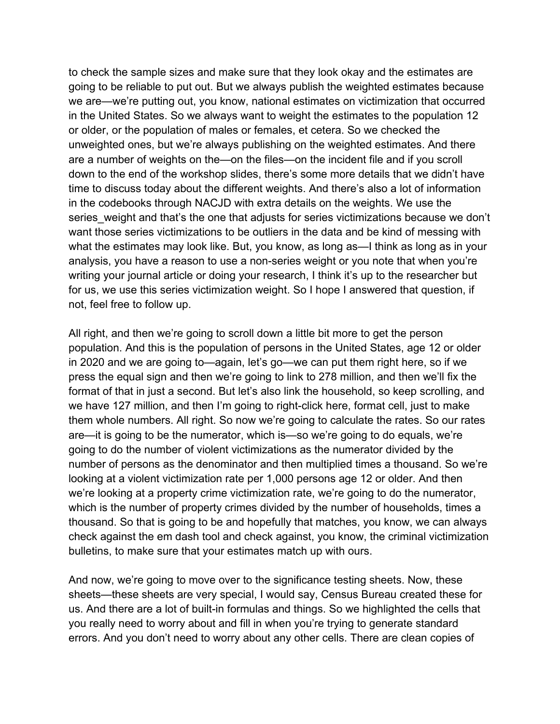to check the sample sizes and make sure that they look okay and the estimates are going to be reliable to put out. But we always publish the weighted estimates because we are—we're putting out, you know, national estimates on victimization that occurred in the United States. So we always want to weight the estimates to the population 12 or older, or the population of males or females, et cetera. So we checked the unweighted ones, but we're always publishing on the weighted estimates. And there are a number of weights on the—on the files—on the incident file and if you scroll down to the end of the workshop slides, there's some more details that we didn't have time to discuss today about the different weights. And there's also a lot of information in the codebooks through NACJD with extra details on the weights. We use the series weight and that's the one that adjusts for series victimizations because we don't want those series victimizations to be outliers in the data and be kind of messing with what the estimates may look like. But, you know, as long as—I think as long as in your analysis, you have a reason to use a non-series weight or you note that when you're writing your journal article or doing your research, I think it's up to the researcher but for us, we use this series victimization weight. So I hope I answered that question, if not, feel free to follow up.

All right, and then we're going to scroll down a little bit more to get the person population. And this is the population of persons in the United States, age 12 or older in 2020 and we are going to—again, let's go—we can put them right here, so if we press the equal sign and then we're going to link to 278 million, and then we'll fix the format of that in just a second. But let's also link the household, so keep scrolling, and we have 127 million, and then I'm going to right-click here, format cell, just to make them whole numbers. All right. So now we're going to calculate the rates. So our rates are—it is going to be the numerator, which is—so we're going to do equals, we're going to do the number of violent victimizations as the numerator divided by the number of persons as the denominator and then multiplied times a thousand. So we're looking at a violent victimization rate per 1,000 persons age 12 or older. And then we're looking at a property crime victimization rate, we're going to do the numerator, which is the number of property crimes divided by the number of households, times a thousand. So that is going to be and hopefully that matches, you know, we can always check against the em dash tool and check against, you know, the criminal victimization bulletins, to make sure that your estimates match up with ours.

And now, we're going to move over to the significance testing sheets. Now, these sheets—these sheets are very special, I would say, Census Bureau created these for us. And there are a lot of built-in formulas and things. So we highlighted the cells that you really need to worry about and fill in when you're trying to generate standard errors. And you don't need to worry about any other cells. There are clean copies of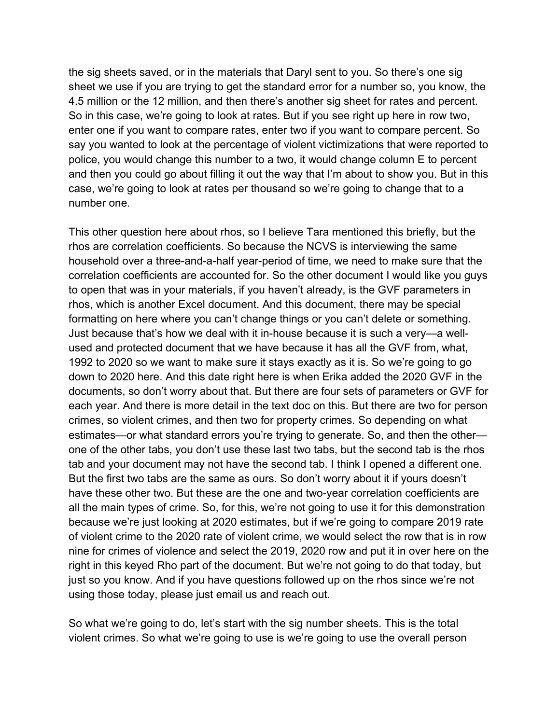the sig sheets saved, or in the materials that Daryl sent to you. So there's one sig sheet we use if you are trying to get the standard error for a number so, you know, the 4.5 million or the 12 million, and then there's another sig sheet for rates and percent. So in this case, we're going to look at rates. But if you see right up here in row two, enter one if you want to compare rates, enter two if you want to compare percent. So say you wanted to look at the percentage of violent victimizations that were reported to police, you would change this number to a two, it would change column E to percent and then you could go about filling it out the way that I'm about to show you. But in this case, we're going to look at rates per thousand so we're going to change that to a number one.

This other question here about rhos, so I believe Tara mentioned this briefly, but the rhos are correlation coefficients. So because the NCVS is interviewing the same household over a three-and-a-half year-period of time, we need to make sure that the correlation coefficients are accounted for. So the other document I would like you guys to open that was in your materials, if you haven't already, is the GVF parameters in rhos, which is another Excel document. And this document, there may be special formatting on here where you can't change things or you can't delete or something. Just because that's how we deal with it in-house because it is such a very—a wellused and protected document that we have because it has all the GVF from, what, 1992 to 2020 so we want to make sure it stays exactly as it is. So we're going to go down to 2020 here. And this date right here is when Erika added the 2020 GVF in the documents, so don't worry about that. But there are four sets of parameters or GVF for each year. And there is more detail in the text doc on this. But there are two for person crimes, so violent crimes, and then two for property crimes. So depending on what estimates—or what standard errors you're trying to generate. So, and then the other one of the other tabs, you don't use these last two tabs, but the second tab is the rhos tab and your document may not have the second tab. I think I opened a different one. But the first two tabs are the same as ours. So don't worry about it if yours doesn't have these other two. But these are the one and two-year correlation coefficients are all the main types of crime. So, for this, we're not going to use it for this demonstration because we're just looking at 2020 estimates, but if we're going to compare 2019 rate of violent crime to the 2020 rate of violent crime, we would select the row that is in row nine for crimes of violence and select the 2019, 2020 row and put it in over here on the right in this keyed Rho part of the document. But we're not going to do that today, but just so you know. And if you have questions followed up on the rhos since we're not using those today, please just email us and reach out.

So what we're going to do, let's start with the sig number sheets. This is the total violent crimes. So what we're going to use is we're going to use the overall person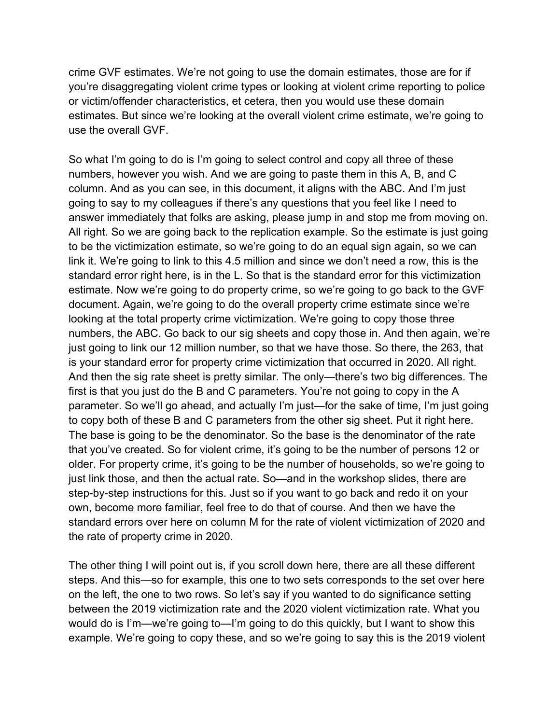crime GVF estimates. We're not going to use the domain estimates, those are for if you're disaggregating violent crime types or looking at violent crime reporting to police or victim/offender characteristics, et cetera, then you would use these domain estimates. But since we're looking at the overall violent crime estimate, we're going to use the overall GVF.

So what I'm going to do is I'm going to select control and copy all three of these numbers, however you wish. And we are going to paste them in this A, B, and C column. And as you can see, in this document, it aligns with the ABC. And I'm just going to say to my colleagues if there's any questions that you feel like I need to answer immediately that folks are asking, please jump in and stop me from moving on. All right. So we are going back to the replication example. So the estimate is just going to be the victimization estimate, so we're going to do an equal sign again, so we can link it. We're going to link to this 4.5 million and since we don't need a row, this is the standard error right here, is in the L. So that is the standard error for this victimization estimate. Now we're going to do property crime, so we're going to go back to the GVF document. Again, we're going to do the overall property crime estimate since we're looking at the total property crime victimization. We're going to copy those three numbers, the ABC. Go back to our sig sheets and copy those in. And then again, we're just going to link our 12 million number, so that we have those. So there, the 263, that is your standard error for property crime victimization that occurred in 2020. All right. And then the sig rate sheet is pretty similar. The only—there's two big differences. The first is that you just do the B and C parameters. You're not going to copy in the A parameter. So we'll go ahead, and actually I'm just—for the sake of time, I'm just going to copy both of these B and C parameters from the other sig sheet. Put it right here. The base is going to be the denominator. So the base is the denominator of the rate that you've created. So for violent crime, it's going to be the number of persons 12 or older. For property crime, it's going to be the number of households, so we're going to just link those, and then the actual rate. So—and in the workshop slides, there are step-by-step instructions for this. Just so if you want to go back and redo it on your own, become more familiar, feel free to do that of course. And then we have the standard errors over here on column M for the rate of violent victimization of 2020 and the rate of property crime in 2020.

The other thing I will point out is, if you scroll down here, there are all these different steps. And this—so for example, this one to two sets corresponds to the set over here on the left, the one to two rows. So let's say if you wanted to do significance setting between the 2019 victimization rate and the 2020 violent victimization rate. What you would do is I'm—we're going to—I'm going to do this quickly, but I want to show this example. We're going to copy these, and so we're going to say this is the 2019 violent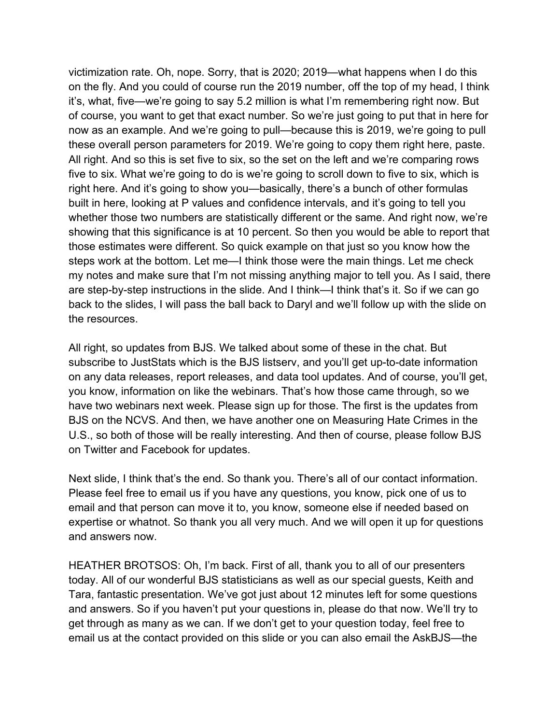victimization rate. Oh, nope. Sorry, that is 2020; 2019—what happens when I do this on the fly. And you could of course run the 2019 number, off the top of my head, I think it's, what, five—we're going to say 5.2 million is what I'm remembering right now. But of course, you want to get that exact number. So we're just going to put that in here for now as an example. And we're going to pull—because this is 2019, we're going to pull these overall person parameters for 2019. We're going to copy them right here, paste. All right. And so this is set five to six, so the set on the left and we're comparing rows five to six. What we're going to do is we're going to scroll down to five to six, which is right here. And it's going to show you—basically, there's a bunch of other formulas built in here, looking at P values and confidence intervals, and it's going to tell you whether those two numbers are statistically different or the same. And right now, we're showing that this significance is at 10 percent. So then you would be able to report that those estimates were different. So quick example on that just so you know how the steps work at the bottom. Let me—I think those were the main things. Let me check my notes and make sure that I'm not missing anything major to tell you. As I said, there are step-by-step instructions in the slide. And I think—I think that's it. So if we can go back to the slides, I will pass the ball back to Daryl and we'll follow up with the slide on the resources.

All right, so updates from BJS. We talked about some of these in the chat. But subscribe to JustStats which is the BJS listserv, and you'll get up-to-date information on any data releases, report releases, and data tool updates. And of course, you'll get, you know, information on like the webinars. That's how those came through, so we have two webinars next week. Please sign up for those. The first is the updates from BJS on the NCVS. And then, we have another one on Measuring Hate Crimes in the U.S., so both of those will be really interesting. And then of course, please follow BJS on Twitter and Facebook for updates.

Next slide, I think that's the end. So thank you. There's all of our contact information. Please feel free to email us if you have any questions, you know, pick one of us to email and that person can move it to, you know, someone else if needed based on expertise or whatnot. So thank you all very much. And we will open it up for questions and answers now.

HEATHER BROTSOS: Oh, I'm back. First of all, thank you to all of our presenters today. All of our wonderful BJS statisticians as well as our special guests, Keith and Tara, fantastic presentation. We've got just about 12 minutes left for some questions and answers. So if you haven't put your questions in, please do that now. We'll try to get through as many as we can. If we don't get to your question today, feel free to email us at the contact provided on this slide or you can also email the AskBJS—the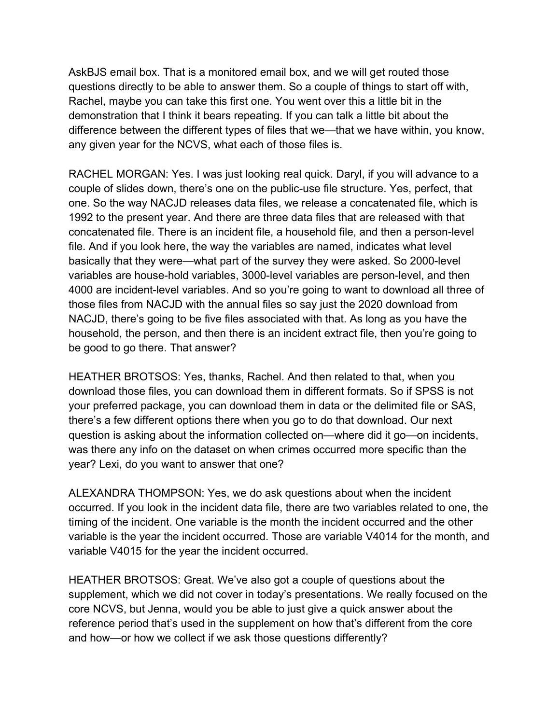AskBJS email box. That is a monitored email box, and we will get routed those questions directly to be able to answer them. So a couple of things to start off with, Rachel, maybe you can take this first one. You went over this a little bit in the demonstration that I think it bears repeating. If you can talk a little bit about the difference between the different types of files that we—that we have within, you know, any given year for the NCVS, what each of those files is.

RACHEL MORGAN: Yes. I was just looking real quick. Daryl, if you will advance to a couple of slides down, there's one on the public-use file structure. Yes, perfect, that one. So the way NACJD releases data files, we release a concatenated file, which is 1992 to the present year. And there are three data files that are released with that concatenated file. There is an incident file, a household file, and then a person-level file. And if you look here, the way the variables are named, indicates what level basically that they were—what part of the survey they were asked. So 2000-level variables are house-hold variables, 3000-level variables are person-level, and then 4000 are incident-level variables. And so you're going to want to download all three of those files from NACJD with the annual files so say just the 2020 download from NACJD, there's going to be five files associated with that. As long as you have the household, the person, and then there is an incident extract file, then you're going to be good to go there. That answer?

HEATHER BROTSOS: Yes, thanks, Rachel. And then related to that, when you download those files, you can download them in different formats. So if SPSS is not your preferred package, you can download them in data or the delimited file or SAS, there's a few different options there when you go to do that download. Our next question is asking about the information collected on—where did it go—on incidents, was there any info on the dataset on when crimes occurred more specific than the year? Lexi, do you want to answer that one?

ALEXANDRA THOMPSON: Yes, we do ask questions about when the incident occurred. If you look in the incident data file, there are two variables related to one, the timing of the incident. One variable is the month the incident occurred and the other variable is the year the incident occurred. Those are variable V4014 for the month, and variable V4015 for the year the incident occurred.

HEATHER BROTSOS: Great. We've also got a couple of questions about the supplement, which we did not cover in today's presentations. We really focused on the core NCVS, but Jenna, would you be able to just give a quick answer about the reference period that's used in the supplement on how that's different from the core and how—or how we collect if we ask those questions differently?